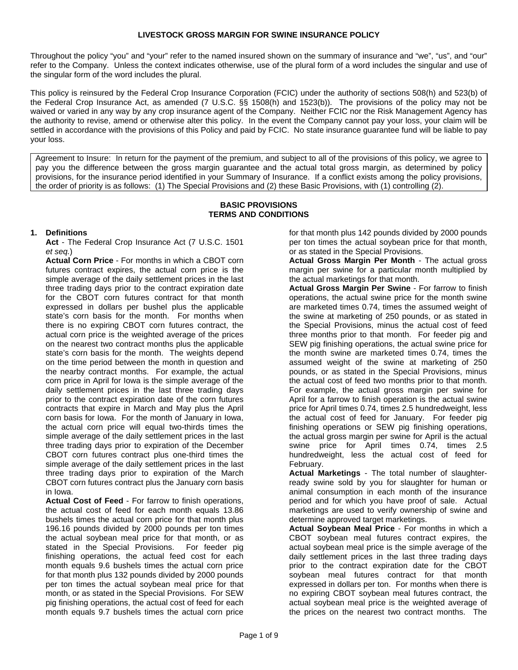Throughout the policy "you" and "your" refer to the named insured shown on the summary of insurance and "we", "us", and "our" refer to the Company. Unless the context indicates otherwise, use of the plural form of a word includes the singular and use of the singular form of the word includes the plural.

This policy is reinsured by the Federal Crop Insurance Corporation (FCIC) under the authority of sections 508(h) and 523(b) of the Federal Crop Insurance Act, as amended (7 U.S.C. §§ 1508(h) and 1523(b)). The provisions of the policy may not be waived or varied in any way by any crop insurance agent of the Company. Neither FCIC nor the Risk Management Agency has the authority to revise, amend or otherwise alter this policy. In the event the Company cannot pay your loss, your claim will be settled in accordance with the provisions of this Policy and paid by FCIC. No state insurance guarantee fund will be liable to pay your loss.

Agreement to Insure: In return for the payment of the premium, and subject to all of the provisions of this policy, we agree to pay you the difference between the gross margin guarantee and the actual total gross margin, as determined by policy provisions, for the insurance period identified in your Summary of Insurance. If a conflict exists among the policy provisions, the order of priority is as follows: (1) The Special Provisions and (2) these Basic Provisions, with (1) controlling (2).

#### **BASIC PROVISIONS TERMS AND CONDITIONS**

### **1. Definitions**

**Act** - The Federal Crop Insurance Act (7 U.S.C. 1501 *et seq.*)

**Actual Corn Price** - For months in which a CBOT corn futures contract expires, the actual corn price is the simple average of the daily settlement prices in the last three trading days prior to the contract expiration date for the CBOT corn futures contract for that month expressed in dollars per bushel plus the applicable state's corn basis for the month. For months when there is no expiring CBOT corn futures contract, the actual corn price is the weighted average of the prices on the nearest two contract months plus the applicable state's corn basis for the month. The weights depend on the time period between the month in question and the nearby contract months. For example, the actual corn price in April for Iowa is the simple average of the daily settlement prices in the last three trading days prior to the contract expiration date of the corn futures contracts that expire in March and May plus the April corn basis for Iowa. For the month of January in Iowa, the actual corn price will equal two-thirds times the simple average of the daily settlement prices in the last three trading days prior to expiration of the December CBOT corn futures contract plus one-third times the simple average of the daily settlement prices in the last three trading days prior to expiration of the March CBOT corn futures contract plus the January corn basis in Iowa.

**Actual Cost of Feed** - For farrow to finish operations, the actual cost of feed for each month equals 13.86 bushels times the actual corn price for that month plus 196.16 pounds divided by 2000 pounds per ton times the actual soybean meal price for that month, or as stated in the Special Provisions. For feeder pig finishing operations, the actual feed cost for each month equals 9.6 bushels times the actual corn price for that month plus 132 pounds divided by 2000 pounds per ton times the actual soybean meal price for that month, or as stated in the Special Provisions. For SEW pig finishing operations, the actual cost of feed for each month equals 9.7 bushels times the actual corn price

for that month plus 142 pounds divided by 2000 pounds per ton times the actual soybean price for that month, or as stated in the Special Provisions.

**Actual Gross Margin Per Month** - The actual gross margin per swine for a particular month multiplied by the actual marketings for that month.

the actual cost of feed two months prior to that month. **Actual Gross Margin Per Swine** - For farrow to finish operations, the actual swine price for the month swine are marketed times 0.74, times the assumed weight of the swine at marketing of 250 pounds, or as stated in the Special Provisions, minus the actual cost of feed three months prior to that month. For feeder pig and SEW pig finishing operations, the actual swine price for the month swine are marketed times 0.74, times the assumed weight of the swine at marketing of 250 pounds, or as stated in the Special Provisions, minus For example, the actual gross margin per swine for April for a farrow to finish operation is the actual swine price for April times 0.74, times 2.5 hundredweight, less the actual cost of feed for January. For feeder pig finishing operations or SEW pig finishing operations, the actual gross margin per swine for April is the actual swine price for April times 0.74, times 2.5 hundredweight, less the actual cost of feed for February.

**Actual Marketings** - The total number of slaughterready swine sold by you for slaughter for human or animal consumption in each month of the insurance period and for which you have proof of sale. Actual marketings are used to verify ownership of swine and determine approved target marketings.

**Actual Soybean Meal Price** - For months in which a CBOT soybean meal futures contract expires, the actual soybean meal price is the simple average of the daily settlement prices in the last three trading days prior to the contract expiration date for the CBOT soybean meal futures contract for that month expressed in dollars per ton. For months when there is no expiring CBOT soybean meal futures contract, the actual soybean meal price is the weighted average of the prices on the nearest two contract months. The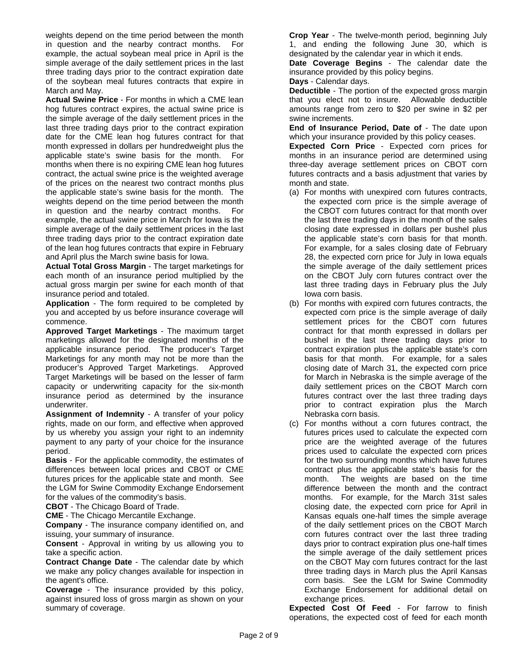weights depend on the time period between the month in question and the nearby contract months. For example, the actual soybean meal price in April is the simple average of the daily settlement prices in the last three trading days prior to the contract expiration date of the soybean meal futures contracts that expire in March and May.

**Actual Swine Price** - For months in which a CME lean hog futures contract expires, the actual swine price is the simple average of the daily settlement prices in the last three trading days prior to the contract expiration date for the CME lean hog futures contract for that month expressed in dollars per hundredweight plus the applicable state's swine basis for the month. For months when there is no expiring CME lean hog futures contract, the actual swine price is the weighted average of the prices on the nearest two contract months plus the applicable state's swine basis for the month. The weights depend on the time period between the month in question and the nearby contract months. For example, the actual swine price in March for Iowa is the simple average of the daily settlement prices in the last three trading days prior to the contract expiration date of the lean hog futures contracts that expire in February and April plus the March swine basis for Iowa.

**Actual Total Gross Margin** - The target marketings for each month of an insurance period multiplied by the actual gross margin per swine for each month of that insurance period and totaled.

**Application** - The form required to be completed by you and accepted by us before insurance coverage will commence.

**Approved Target Marketings** - The maximum target marketings allowed for the designated months of the applicable insurance period. The producer's Target Marketings for any month may not be more than the producer's Approved Target Marketings. Approved Target Marketings will be based on the lesser of farm capacity or underwriting capacity for the six-month insurance period as determined by the insurance underwriter.

**Assignment of Indemnity** - A transfer of your policy rights, made on our form, and effective when approved by us whereby you assign your right to an indemnity payment to any party of your choice for the insurance period.

**Basis** - For the applicable commodity, the estimates of differences between local prices and CBOT or CME futures prices for the applicable state and month. See the LGM for Swine Commodity Exchange Endorsement for the values of the commodity's basis.

**CBOT** - The Chicago Board of Trade.

**CME** - The Chicago Mercantile Exchange.

**Company** - The insurance company identified on, and issuing, your summary of insurance.

**Consent** - Approval in writing by us allowing you to take a specific action.

**Contract Change Date** - The calendar date by which we make any policy changes available for inspection in the agent's office.

**Coverage** - The insurance provided by this policy, against insured loss of gross margin as shown on your summary of coverage.

**Crop Year** - The twelve-month period, beginning July 1, and ending the following June 30, which is designated by the calendar year in which it ends.

**Date Coverage Begins** - The calendar date the insurance provided by this policy begins.

**Days** - Calendar days.

**Deductible** - The portion of the expected gross margin that you elect not to insure. Allowable deductible amounts range from zero to \$20 per swine in \$2 per swine increments.

**End of Insurance Period, Date of** - The date upon which your insurance provided by this policy ceases.

**Expected Corn Price** - Expected corn prices for months in an insurance period are determined using three-day average settlement prices on CBOT corn futures contracts and a basis adjustment that varies by month and state.

- the applicable state's corn basis for that month. (a) For months with unexpired corn futures contracts, the expected corn price is the simple average of the CBOT corn futures contract for that month over the last three trading days in the month of the sales closing date expressed in dollars per bushel plus For example, for a sales closing date of February 28, the expected corn price for July in Iowa equals the simple average of the daily settlement prices on the CBOT July corn futures contract over the last three trading days in February plus the July Iowa corn basis.
- (b) For months with expired corn futures contracts, the expected corn price is the simple average of daily settlement prices for the CBOT corn futures contract for that month expressed in dollars per bushel in the last three trading days prior to contract expiration plus the applicable state's corn basis for that month. For example, for a sales closing date of March 31, the expected corn price for March in Nebraska is the simple average of the daily settlement prices on the CBOT March corn futures contract over the last three trading days prior to contract expiration plus the March Nebraska corn basis.
- (c) For months without a corn futures contract, the futures prices used to calculate the expected corn price are the weighted average of the futures prices used to calculate the expected corn prices for the two surrounding months which have futures contract plus the applicable state's basis for the month. The weights are based on the time difference between the month and the contract months. For example, for the March 31st sales closing date, the expected corn price for April in Kansas equals one-half times the simple average of the daily settlement prices on the CBOT March corn futures contract over the last three trading days prior to contract expiration plus one-half times the simple average of the daily settlement prices on the CBOT May corn futures contract for the last three trading days in March plus the April Kansas corn basis. See the LGM for Swine Commodity Exchange Endorsement for additional detail on exchange prices.

**Expected Cost Of Feed** - For farrow to finish operations, the expected cost of feed for each month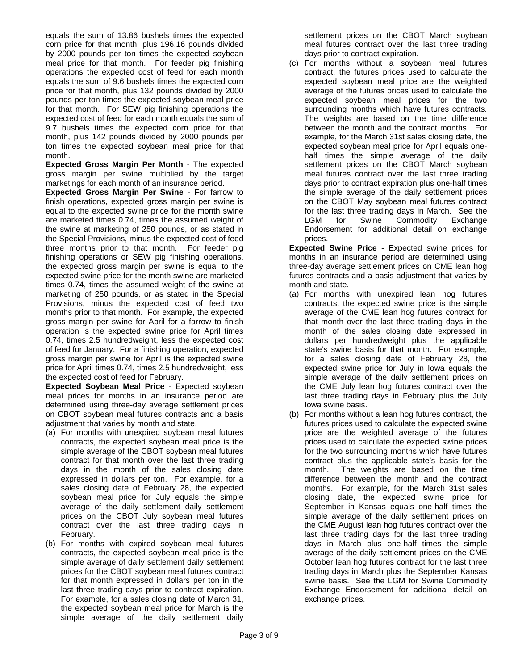equals the sum of 13.86 bushels times the expected corn price for that month, plus 196.16 pounds divided by 2000 pounds per ton times the expected soybean meal price for that month. For feeder pig finishing operations the expected cost of feed for each month equals the sum of 9.6 bushels times the expected corn price for that month, plus 132 pounds divided by 2000 pounds per ton times the expected soybean meal price for that month. For SEW pig finishing operations the expected cost of feed for each month equals the sum of 9.7 bushels times the expected corn price for that month, plus 142 pounds divided by 2000 pounds per ton times the expected soybean meal price for that month.

**Expected Gross Margin Per Month** - The expected gross margin per swine multiplied by the target marketings for each month of an insurance period.

**Expected Gross Margin Per Swine** - For farrow to finish operations, expected gross margin per swine is equal to the expected swine price for the month swine are marketed times 0.74, times the assumed weight of the swine at marketing of 250 pounds, or as stated in the Special Provisions, minus the expected cost of feed three months prior to that month. For feeder pig finishing operations or SEW pig finishing operations, the expected gross margin per swine is equal to the expected swine price for the month swine are marketed times 0.74, times the assumed weight of the swine at marketing of 250 pounds, or as stated in the Special Provisions, minus the expected cost of feed two months prior to that month. For example, the expected gross margin per swine for April for a farrow to finish operation is the expected swine price for April times 0.74, times 2.5 hundredweight, less the expected cost of feed for January. For a finishing operation, expected gross margin per swine for April is the expected swine price for April times 0.74, times 2.5 hundredweight, less the expected cost of feed for February.

**Expected Soybean Meal Price** - Expected soybean meal prices for months in an insurance period are determined using three-day average settlement prices on CBOT soybean meal futures contracts and a basis adjustment that varies by month and state.

- (a) For months with unexpired soybean meal futures contracts, the expected soybean meal price is the simple average of the CBOT soybean meal futures contract for that month over the last three trading days in the month of the sales closing date expressed in dollars per ton. For example, for a sales closing date of February 28, the expected soybean meal price for July equals the simple average of the daily settlement daily settlement prices on the CBOT July soybean meal futures contract over the last three trading days in February.
- (b) For months with expired soybean meal futures contracts, the expected soybean meal price is the simple average of daily settlement daily settlement prices for the CBOT soybean meal futures contract for that month expressed in dollars per ton in the last three trading days prior to contract expiration. For example, for a sales closing date of March 31, the expected soybean meal price for March is the simple average of the daily settlement daily

settlement prices on the CBOT March soybean meal futures contract over the last three trading days prior to contract expiration.

surrounding months which have futures contracts. (c) For months without a soybean meal futures contract, the futures prices used to calculate the expected soybean meal price are the weighted average of the futures prices used to calculate the expected soybean meal prices for the two The weights are based on the time difference between the month and the contract months. For example, for the March 31st sales closing date, the expected soybean meal price for April equals onehalf times the simple average of the daily settlement prices on the CBOT March soybean meal futures contract over the last three trading days prior to contract expiration plus one-half times the simple average of the daily settlement prices on the CBOT May soybean meal futures contract for the last three trading days in March. See the LGM for Swine Commodity Exchange Endorsement for additional detail on exchange prices.

**Expected Swine Price** - Expected swine prices for months in an insurance period are determined using three-day average settlement prices on CME lean hog futures contracts and a basis adjustment that varies by month and state.

- dollars per hundredweight plus the applicable (a) For months with unexpired lean hog futures contracts, the expected swine price is the simple average of the CME lean hog futures contract for that month over the last three trading days in the month of the sales closing date expressed in state's swine basis for that month. For example, for a sales closing date of February 28, the expected swine price for July in Iowa equals the simple average of the daily settlement prices on the CME July lean hog futures contract over the last three trading days in February plus the July Iowa swine basis.
- (b) For months without a lean hog futures contract, the futures prices used to calculate the expected swine price are the weighted average of the futures prices used to calculate the expected swine prices for the two surrounding months which have futures contract plus the applicable state's basis for the month. The weights are based on the time difference between the month and the contract months. For example, for the March 31st sales closing date, the expected swine price for September in Kansas equals one-half times the simple average of the daily settlement prices on the CME August lean hog futures contract over the last three trading days for the last three trading days in March plus one-half times the simple average of the daily settlement prices on the CME October lean hog futures contract for the last three trading days in March plus the September Kansas swine basis. See the LGM for Swine Commodity Exchange Endorsement for additional detail on exchange prices.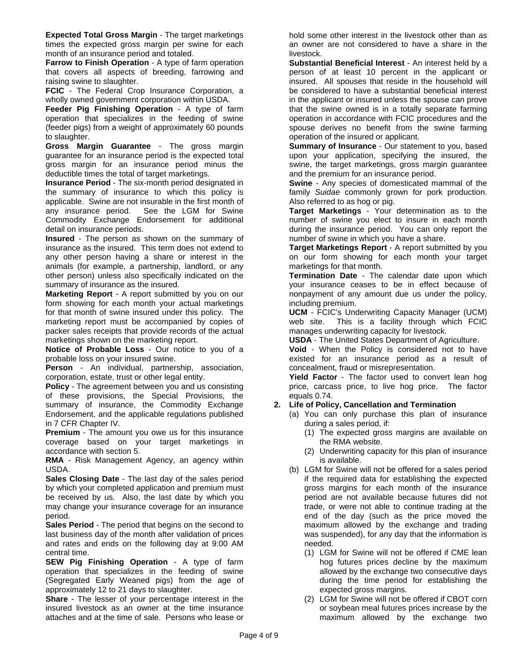**Expected Total Gross Margin** - The target marketings times the expected gross margin per swine for each month of an insurance period and totaled.

**Farrow to Finish Operation** - A type of farm operation that covers all aspects of breeding, farrowing and raising swine to slaughter.

**FCIC** - The Federal Crop Insurance Corporation, a wholly owned government corporation within USDA.

**Feeder Pig Finishing Operation** - A type of farm operation that specializes in the feeding of swine (feeder pigs) from a weight of approximately 60 pounds to slaughter.

**Gross Margin Guarantee** - The gross margin guarantee for an insurance period is the expected total gross margin for an insurance period minus the deductible times the total of target marketings.

**Insurance Period** - The six-month period designated in the summary of insurance to which this policy is applicable. Swine are not insurable in the first month of any insurance period. See the LGM for Swine Commodity Exchange Endorsement for additional detail on insurance periods.

**Insured** - The person as shown on the summary of insurance as the insured. This term does not extend to any other person having a share or interest in the animals (for example, a partnership, landlord, or any other person) unless also specifically indicated on the summary of insurance as the insured.

**Marketing Report** - A report submitted by you on our form showing for each month your actual marketings for that month of swine insured under this policy. The marketing report must be accompanied by copies of packer sales receipts that provide records of the actual marketings shown on the marketing report.

**Notice of Probable Loss** - Our notice to you of a probable loss on your insured swine.

**Person** - An individual, partnership, association, corporation, estate, trust or other legal entity.

**Policy** - The agreement between you and us consisting of these provisions, the Special Provisions, the summary of insurance, the Commodity Exchange Endorsement, and the applicable regulations published in 7 CFR Chapter IV.

**Premium** - The amount you owe us for this insurance coverage based on your target marketings in accordance with section 5.

**RMA** - Risk Management Agency, an agency within USDA.

**Sales Closing Date** - The last day of the sales period by which your completed application and premium must be received by us. Also, the last date by which you may change your insurance coverage for an insurance period.

**Sales Period** - The period that begins on the second to last business day of the month after validation of prices and rates and ends on the following day at 9:00 AM central time.

**SEW Pig Finishing Operation** - A type of farm operation that specializes in the feeding of swine (Segregated Early Weaned pigs) from the age of approximately 12 to 21 days to slaughter.

**Share** - The lesser of your percentage interest in the insured livestock as an owner at the time insurance attaches and at the time of sale. Persons who lease or

hold some other interest in the livestock other than as an owner are not considered to have a share in the livestock.

**Substantial Beneficial Interest** - An interest held by a person of at least 10 percent in the applicant or insured. All spouses that reside in the household will be considered to have a substantial beneficial interest in the applicant or insured unless the spouse can prove that the swine owned is in a totally separate farming operation in accordance with FCIC procedures and the spouse derives no benefit from the swine farming operation of the insured or applicant.

**Summary of Insurance** - Our statement to you, based upon your application, specifying the insured, the swine, the target marketings, gross margin guarantee and the premium for an insurance period.

**Swine** - Any species of domesticated mammal of the family *Suidae* commonly grown for pork production. Also referred to as hog or pig.

**Target Marketings** - Your determination as to the number of swine you elect to insure in each month during the insurance period. You can only report the number of swine in which you have a share.

**Target Marketings Report** - A report submitted by you on our form showing for each month your target marketings for that month.

**Termination Date** - The calendar date upon which your insurance ceases to be in effect because of nonpayment of any amount due us under the policy, including premium.

 web site. This is a facility through which FCIC **UCM** - FCIC's Underwriting Capacity Manager (UCM) manages underwriting capacity for livestock.

**USDA** - The United States Department of Agriculture.

**Void** - When the Policy is considered not to have existed for an insurance period as a result of concealment, fraud or misrepresentation.

**Yield Factor** - The factor used to convert lean hog price, carcass price, to live hog price. The factor equals 0.74.

# **2. Life of Policy, Cancellation and Termination**

(a) You can only purchase this plan of insurance during a sales period, if:

- (1) The expected gross margins are available on the RMA website.
- (2) Underwriting capacity for this plan of insurance is available.
- if the required data for establishing the expected (b) LGM for Swine will not be offered for a sales period gross margins for each month of the insurance period are not available because futures did not trade, or were not able to continue trading at the end of the day (such as the price moved the maximum allowed by the exchange and trading was suspended), for any day that the information is needed.
	- (1) LGM for Swine will not be offered if CME lean hog futures prices decline by the maximum allowed by the exchange two consecutive days during the time period for establishing the expected gross margins.
	- or soybean meal futures prices increase by the (2) LGM for Swine will not be offered if CBOT corn maximum allowed by the exchange two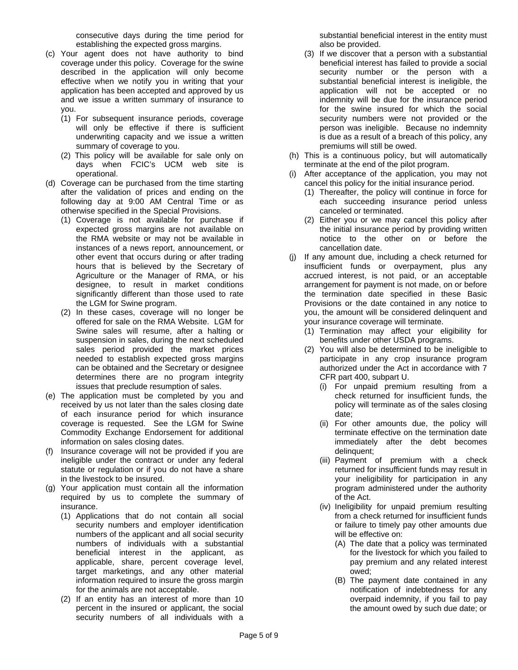consecutive days during the time period for establishing the expected gross margins.

- (c) Your agent does not have authority to bind coverage under this policy. Coverage for the swine described in the application will only become effective when we notify you in writing that your application has been accepted and approved by us and we issue a written summary of insurance to you.
	- (1) For subsequent insurance periods, coverage will only be effective if there is sufficient underwriting capacity and we issue a written summary of coverage to you.
	- (2) This policy will be available for sale only on days when FCIC's UCM web site is operational.
- (d) Coverage can be purchased from the time starting after the validation of prices and ending on the following day at 9:00 AM Central Time or as otherwise specified in the Special Provisions.
	- (1) Coverage is not available for purchase if expected gross margins are not available on the RMA website or may not be available in instances of a news report, announcement, or other event that occurs during or after trading hours that is believed by the Secretary of Agriculture or the Manager of RMA, or his designee, to result in market conditions significantly different than those used to rate the LGM for Swine program.
	- (2) In these cases, coverage will no longer be offered for sale on the RMA Website. LGM for Swine sales will resume, after a halting or suspension in sales, during the next scheduled sales period provided the market prices needed to establish expected gross margins can be obtained and the Secretary or designee determines there are no program integrity issues that preclude resumption of sales.
- (e) The application must be completed by you and received by us not later than the sales closing date of each insurance period for which insurance coverage is requested. See the LGM for Swine Commodity Exchange Endorsement for additional information on sales closing dates.
- (f) Insurance coverage will not be provided if you are ineligible under the contract or under any federal statute or regulation or if you do not have a share in the livestock to be insured.
- (g) Your application must contain all the information required by us to complete the summary of insurance.
	- (1) Applications that do not contain all social security numbers and employer identification numbers of the applicant and all social security numbers of individuals with a substantial beneficial interest in the applicant, as applicable, share, percent coverage level, target marketings, and any other material information required to insure the gross margin for the animals are not acceptable.
	- (2) If an entity has an interest of more than 10 percent in the insured or applicant, the social security numbers of all individuals with a

substantial beneficial interest in the entity must also be provided.

- (3) If we discover that a person with a substantial beneficial interest has failed to provide a social security number or the person with a substantial beneficial interest is ineligible, the application will not be accepted or no indemnity will be due for the insurance period for the swine insured for which the social security numbers were not provided or the person was ineligible. Because no indemnity is due as a result of a breach of this policy, any premiums will still be owed.
- (h) This is a continuous policy, but will automatically terminate at the end of the pilot program.
- (i) After acceptance of the application, you may not cancel this policy for the initial insurance period.
	- (1) Thereafter, the policy will continue in force for each succeeding insurance period unless canceled or terminated.
	- (2) Either you or we may cancel this policy after the initial insurance period by providing written notice to the other on or before the cancellation date.
- (j) If any amount due, including a check returned for insufficient funds or overpayment, plus any accrued interest, is not paid, or an acceptable arrangement for payment is not made, on or before the termination date specified in these Basic Provisions or the date contained in any notice to you, the amount will be considered delinquent and your insurance coverage will terminate.
	- (1) Termination may affect your eligibility for benefits under other USDA programs.
	- (2) You will also be determined to be ineligible to participate in any crop insurance program authorized under the Act in accordance with 7 CFR part 400, subpart U.
		- (i) For unpaid premium resulting from a check returned for insufficient funds, the policy will terminate as of the sales closing date;
		- (ii) For other amounts due, the policy will terminate effective on the termination date immediately after the debt becomes delinquent;
		- (iii) Payment of premium with a check returned for insufficient funds may result in your ineligibility for participation in any program administered under the authority of the Act.
		- (iv) Ineligibility for unpaid premium resulting from a check returned for insufficient funds or failure to timely pay other amounts due will be effective on:
			- (A) The date that a policy was terminated for the livestock for which you failed to pay premium and any related interest owed;
			- (B) The payment date contained in any notification of indebtedness for any overpaid indemnity, if you fail to pay the amount owed by such due date; or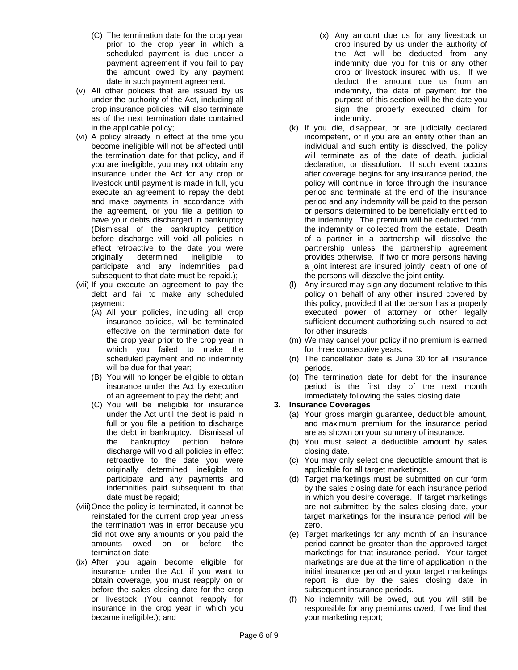- (C) The termination date for the crop year prior to the crop year in which a scheduled payment is due under a payment agreement if you fail to pay the amount owed by any payment date in such payment agreement.
- (v) All other policies that are issued by us under the authority of the Act, including all crop insurance policies, will also terminate as of the next termination date contained in the applicable policy;
- (vi) A policy already in effect at the time you become ineligible will not be affected until the termination date for that policy, and if you are ineligible, you may not obtain any insurance under the Act for any crop or livestock until payment is made in full, you execute an agreement to repay the debt and make payments in accordance with the agreement, or you file a petition to have your debts discharged in bankruptcy (Dismissal of the bankruptcy petition before discharge will void all policies in effect retroactive to the date you were originally determined ineligible to participate and any indemnities paid subsequent to that date must be repaid.);
- (vii) If you execute an agreement to pay the debt and fail to make any scheduled payment:
	- (A) All your policies, including all crop insurance policies, will be terminated effective on the termination date for the crop year prior to the crop year in which you failed to make the scheduled payment and no indemnity will be due for that year;
	- (B) You will no longer be eligible to obtain insurance under the Act by execution of an agreement to pay the debt; and
	- (C) You will be ineligible for insurance under the Act until the debt is paid in full or you file a petition to discharge the debt in bankruptcy. Dismissal of the bankruptcy petition before discharge will void all policies in effect retroactive to the date you were originally determined ineligible to participate and any payments and indemnities paid subsequent to that date must be repaid;
- (viii)Once the policy is terminated, it cannot be reinstated for the current crop year unless the termination was in error because you did not owe any amounts or you paid the amounts owed on or before the termination date;
- (ix) After you again become eligible for insurance under the Act, if you want to obtain coverage, you must reapply on or before the sales closing date for the crop or livestock (You cannot reapply for insurance in the crop year in which you became ineligible.); and
- (x) Any amount due us for any livestock or crop insured by us under the authority of the Act will be deducted from any indemnity due you for this or any other crop or livestock insured with us. If we deduct the amount due us from an indemnity, the date of payment for the purpose of this section will be the date you sign the properly executed claim for indemnity.
- (k) If you die, disappear, or are judicially declared incompetent, or if you are an entity other than an individual and such entity is dissolved, the policy will terminate as of the date of death, judicial declaration, or dissolution. If such event occurs after coverage begins for any insurance period, the policy will continue in force through the insurance period and terminate at the end of the insurance period and any indemnity will be paid to the person or persons determined to be beneficially entitled to the indemnity. The premium will be deducted from the indemnity or collected from the estate. Death of a partner in a partnership will dissolve the partnership unless the partnership agreement provides otherwise. If two or more persons having a joint interest are insured jointly, death of one of the persons will dissolve the joint entity.
- (l) Any insured may sign any document relative to this policy on behalf of any other insured covered by this policy, provided that the person has a properly executed power of attorney or other legally sufficient document authorizing such insured to act for other insureds.
- (m) We may cancel your policy if no premium is earned for three consecutive years.
- (n) The cancellation date is June 30 for all insurance periods.
- (o) The termination date for debt for the insurance period is the first day of the next month immediately following the sales closing date.

# **3. Insurance Coverages**

- (a) Your gross margin guarantee, deductible amount, and maximum premium for the insurance period are as shown on your summary of insurance.
- (b) You must select a deductible amount by sales closing date.
- (c) You may only select one deductible amount that is applicable for all target marketings.
- (d) Target marketings must be submitted on our form by the sales closing date for each insurance period in which you desire coverage. If target marketings are not submitted by the sales closing date, your target marketings for the insurance period will be zero.
- (e) Target marketings for any month of an insurance period cannot be greater than the approved target marketings for that insurance period. Your target marketings are due at the time of application in the initial insurance period and your target marketings report is due by the sales closing date in subsequent insurance periods.
- (f) No indemnity will be owed, but you will still be responsible for any premiums owed, if we find that your marketing report;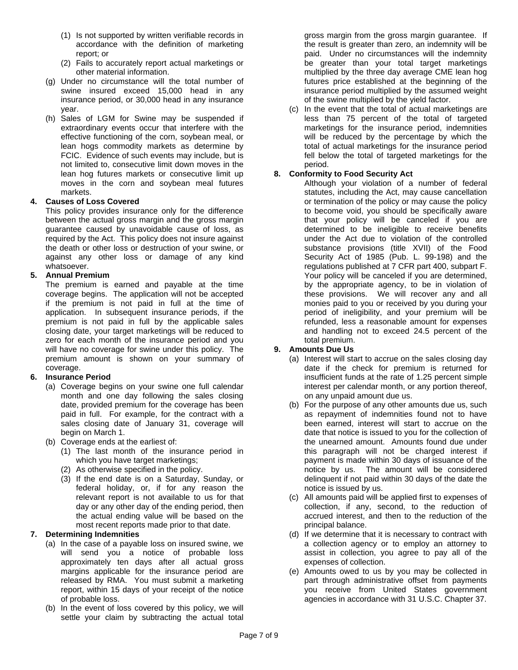- (1) Is not supported by written verifiable records in accordance with the definition of marketing report; or
- (2) Fails to accurately report actual marketings or other material information.
- (g) Under no circumstance will the total number of swine insured exceed 15,000 head in any insurance period, or 30,000 head in any insurance year.
- (h) Sales of LGM for Swine may be suspended if extraordinary events occur that interfere with the effective functioning of the corn, soybean meal, or lean hogs commodity markets as determine by FCIC. Evidence of such events may include, but is not limited to, consecutive limit down moves in the lean hog futures markets or consecutive limit up moves in the corn and soybean meal futures markets.

### **4. Causes of Loss Covered**

This policy provides insurance only for the difference between the actual gross margin and the gross margin guarantee caused by unavoidable cause of loss, as required by the Act. This policy does not insure against the death or other loss or destruction of your swine, or against any other loss or damage of any kind whatsoever.

#### **5. Annual Premium**

The premium is earned and payable at the time coverage begins. The application will not be accepted if the premium is not paid in full at the time of application. In subsequent insurance periods, if the premium is not paid in full by the applicable sales closing date, your target marketings will be reduced to zero for each month of the insurance period and you will have no coverage for swine under this policy. The premium amount is shown on your summary of coverage.

# **6. Insurance Period**

- (a) Coverage begins on your swine one full calendar month and one day following the sales closing date, provided premium for the coverage has been paid in full. For example, for the contract with a sales closing date of January 31, coverage will begin on March 1.
- (b) Coverage ends at the earliest of:
	- (1) The last month of the insurance period in which you have target marketings;
	- (2) As otherwise specified in the policy.
	- (3) If the end date is on a Saturday, Sunday, or federal holiday, or, if for any reason the relevant report is not available to us for that day or any other day of the ending period, then the actual ending value will be based on the most recent reports made prior to that date.

# **7. Determining Indemnities**

- (a) In the case of a payable loss on insured swine, we will send you a notice of probable loss approximately ten days after all actual gross margins applicable for the insurance period are released by RMA. You must submit a marketing report, within 15 days of your receipt of the notice of probable loss.
- (b) In the event of loss covered by this policy, we will settle your claim by subtracting the actual total

gross margin from the gross margin guarantee. If the result is greater than zero, an indemnity will be paid. Under no circumstances will the indemnity be greater than your total target marketings multiplied by the three day average CME lean hog futures price established at the beginning of the insurance period multiplied by the assumed weight of the swine multiplied by the yield factor.

(c) In the event that the total of actual marketings are less than 75 percent of the total of targeted marketings for the insurance period, indemnities will be reduced by the percentage by which the total of actual marketings for the insurance period fell below the total of targeted marketings for the period.

### **8. Conformity to Food Security Act**

Although your violation of a number of federal statutes, including the Act, may cause cancellation or termination of the policy or may cause the policy to become void, you should be specifically aware that your policy will be canceled if you are determined to be ineligible to receive benefits under the Act due to violation of the controlled substance provisions (title XVII) of the Food Security Act of 1985 (Pub. L. 99-198) and the regulations published at 7 CFR part 400, subpart F. Your policy will be canceled if you are determined, by the appropriate agency, to be in violation of these provisions. We will recover any and all monies paid to you or received by you during your period of ineligibility, and your premium will be refunded, less a reasonable amount for expenses and handling not to exceed 24.5 percent of the total premium.

# **9. Amounts Due Us**

- (a) Interest will start to accrue on the sales closing day date if the check for premium is returned for insufficient funds at the rate of 1.25 percent simple interest per calendar month, or any portion thereof, on any unpaid amount due us.
- (b) For the purpose of any other amounts due us, such as repayment of indemnities found not to have been earned, interest will start to accrue on the date that notice is issued to you for the collection of the unearned amount. Amounts found due under this paragraph will not be charged interest if payment is made within 30 days of issuance of the notice by us. The amount will be considered delinquent if not paid within 30 days of the date the notice is issued by us.
- (c) All amounts paid will be applied first to expenses of collection, if any, second, to the reduction of accrued interest, and then to the reduction of the principal balance.
- (d) If we determine that it is necessary to contract with a collection agency or to employ an attorney to assist in collection, you agree to pay all of the expenses of collection.
- (e) Amounts owed to us by you may be collected in part through administrative offset from payments you receive from United States government agencies in accordance with 31 U.S.C. Chapter 37.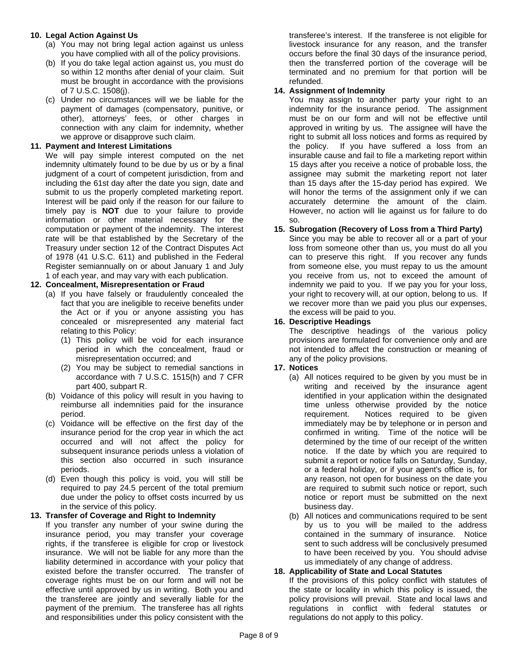### **10. Legal Action Against Us**

- (a) You may not bring legal action against us unless you have complied with all of the policy provisions.
- (b) If you do take legal action against us, you must do so within 12 months after denial of your claim. Suit must be brought in accordance with the provisions of 7 U.S.C. 1508(j).
- (c) Under no circumstances will we be liable for the payment of damages (compensatory, punitive, or other), attorneys' fees, or other charges in connection with any claim for indemnity, whether we approve or disapprove such claim.

#### **11. Payment and Interest Limitations**

We will pay simple interest computed on the net indemnity ultimately found to be due by us or by a final judgment of a court of competent jurisdiction, from and including the 61st day after the date you sign, date and submit to us the properly completed marketing report. Interest will be paid only if the reason for our failure to timely pay is **NOT** due to your failure to provide information or other material necessary for the computation or payment of the indemnity. The interest rate will be that established by the Secretary of the Treasury under section 12 of the Contract Disputes Act of 1978 (41 U.S.C. 611) and published in the Federal Register semiannually on or about January 1 and July 1 of each year, and may vary with each publication.

### **12. Concealment, Misrepresentation or Fraud**

- (a) If you have falsely or fraudulently concealed the fact that you are ineligible to receive benefits under the Act or if you or anyone assisting you has concealed or misrepresented any material fact relating to this Policy:
	- (1) This policy will be void for each insurance period in which the concealment, fraud or misrepresentation occurred; and
	- (2) You may be subject to remedial sanctions in accordance with 7 U.S.C. 1515(h) and 7 CFR part 400, subpart R.
- (b) Voidance of this policy will result in you having to reimburse all indemnities paid for the insurance period.
- (c) Voidance will be effective on the first day of the insurance period for the crop year in which the act occurred and will not affect the policy for subsequent insurance periods unless a violation of this section also occurred in such insurance periods.
- (d) Even though this policy is void, you will still be required to pay 24.5 percent of the total premium due under the policy to offset costs incurred by us in the service of this policy.

#### **13. Transfer of Coverage and Right to Indemnity**

If you transfer any number of your swine during the insurance period, you may transfer your coverage rights, if the transferee is eligible for crop or livestock insurance. We will not be liable for any more than the liability determined in accordance with your policy that existed before the transfer occurred. The transfer of coverage rights must be on our form and will not be effective until approved by us in writing. Both you and the transferee are jointly and severally liable for the payment of the premium. The transferee has all rights and responsibilities under this policy consistent with the

transferee's interest. If the transferee is not eligible for livestock insurance for any reason, and the transfer occurs before the final 30 days of the insurance period, then the transferred portion of the coverage will be terminated and no premium for that portion will be refunded.

#### **14. Assignment of Indemnity**

 accurately determine the amount of the claim. However, no action will lie against us for failure to do You may assign to another party your right to an indemnity for the insurance period. The assignment must be on our form and will not be effective until approved in writing by us. The assignee will have the right to submit all loss notices and forms as required by the policy. If you have suffered a loss from an insurable cause and fail to file a marketing report within 15 days after you receive a notice of probable loss, the assignee may submit the marketing report not later than 15 days after the 15-day period has expired. We will honor the terms of the assignment only if we can so.

### **15. Subrogation (Recovery of Loss from a Third Party)**

Since you may be able to recover all or a part of your loss from someone other than us, you must do all you can to preserve this right. If you recover any funds from someone else, you must repay to us the amount you receive from us, not to exceed the amount of indemnity we paid to you. If we pay you for your loss, your right to recovery will, at our option, belong to us. If we recover more than we paid you plus our expenses, the excess will be paid to you.

### **16. Descriptive Headings**

The descriptive headings of the various policy provisions are formulated for convenience only and are not intended to affect the construction or meaning of any of the policy provisions.

#### **17. Notices**

- (a) All notices required to be given by you must be in writing and received by the insurance agent identified in your application within the designated time unless otherwise provided by the notice requirement. Notices required to be given immediately may be by telephone or in person and confirmed in writing. Time of the notice will be determined by the time of our receipt of the written notice. If the date by which you are required to submit a report or notice falls on Saturday, Sunday, or a federal holiday, or if your agent's office is, for any reason, not open for business on the date you are required to submit such notice or report, such notice or report must be submitted on the next business day.
- (b) All notices and communications required to be sent by us to you will be mailed to the address contained in the summary of insurance. Notice sent to such address will be conclusively presumed to have been received by you. You should advise us immediately of any change of address.

#### **18. Applicability of State and Local Statutes**

If the provisions of this policy conflict with statutes of the state or locality in which this policy is issued, the policy provisions will prevail. State and local laws and regulations in conflict with federal statutes or regulations do not apply to this policy.